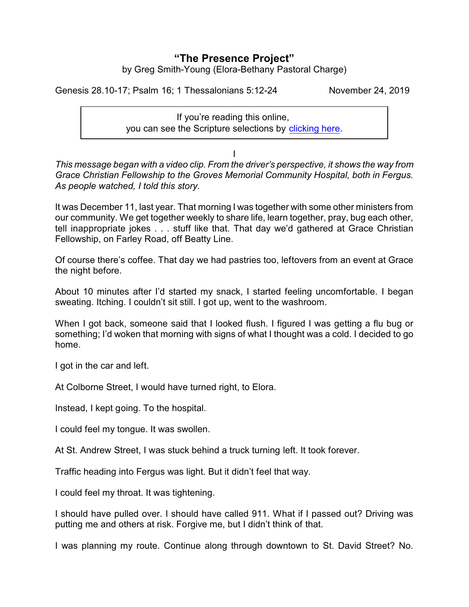# **"The Presence Project"** by Greg Smith-Young (Elora-Bethany Pastoral Charge)

Genesis 28.10-17; Psalm 16; 1 Thessalonians 5:12-24 November 24, 2019

If you're reading this online, you can see the Scripture selections by [clicking here](https://www.biblegateway.com/passage/?search=Genesis+28.10-17%3B+Psalm+16%3B+1+Thessalonians+5%3A12-24&version=CEB).

I

*This message began with a video clip. From the driver's perspective, it shows the way from Grace Christian Fellowship to the Groves Memorial Community Hospital, both in Fergus. As people watched, I told this story.*

It was December 11, last year. That morning I was together with some other ministers from our community. We get together weekly to share life, learn together, pray, bug each other, tell inappropriate jokes . . . stuff like that. That day we'd gathered at Grace Christian Fellowship, on Farley Road, off Beatty Line.

Of course there's coffee. That day we had pastries too, leftovers from an event at Grace the night before.

About 10 minutes after I'd started my snack, I started feeling uncomfortable. I began sweating. Itching. I couldn't sit still. I got up, went to the washroom.

When I got back, someone said that I looked flush. I figured I was getting a flu bug or something; I'd woken that morning with signs of what I thought was a cold. I decided to go home.

I got in the car and left.

At Colborne Street, I would have turned right, to Elora.

Instead, I kept going. To the hospital.

I could feel my tongue. It was swollen.

At St. Andrew Street, I was stuck behind a truck turning left. It took forever.

Traffic heading into Fergus was light. But it didn't feel that way.

I could feel my throat. It was tightening.

I should have pulled over. I should have called 911. What if I passed out? Driving was putting me and others at risk. Forgive me, but I didn't think of that.

I was planning my route. Continue along through downtown to St. David Street? No.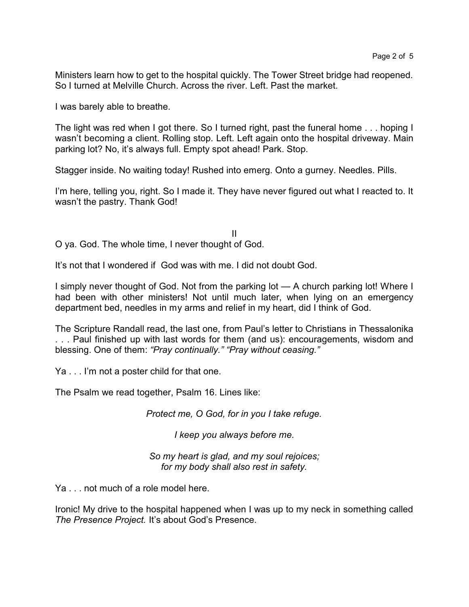Ministers learn how to get to the hospital quickly. The Tower Street bridge had reopened. So I turned at Melville Church. Across the river. Left. Past the market.

I was barely able to breathe.

The light was red when I got there. So I turned right, past the funeral home . . . hoping I wasn't becoming a client. Rolling stop. Left. Left again onto the hospital driveway. Main parking lot? No, it's always full. Empty spot ahead! Park. Stop.

Stagger inside. No waiting today! Rushed into emerg. Onto a gurney. Needles. Pills.

I'm here, telling you, right. So I made it. They have never figured out what I reacted to. It wasn't the pastry. Thank God!

II O ya. God. The whole time, I never thought of God.

It's not that I wondered if God was with me. I did not doubt God.

I simply never thought of God. Not from the parking lot — A church parking lot! Where I had been with other ministers! Not until much later, when lying on an emergency department bed, needles in my arms and relief in my heart, did I think of God.

The Scripture Randall read, the last one, from Paul's letter to Christians in Thessalonika . . . Paul finished up with last words for them (and us): encouragements, wisdom and blessing. One of them: *"Pray continually." "Pray without ceasing."*

Ya . . . I'm not a poster child for that one.

The Psalm we read together, Psalm 16. Lines like:

*Protect me, O God, for in you I take refuge.*

*I keep you always before me.*

*So my heart is glad, and my soul rejoices; for my body shall also rest in safety.*

Ya . . . not much of a role model here.

Ironic! My drive to the hospital happened when I was up to my neck in something called *The Presence Project.* It's about God's Presence.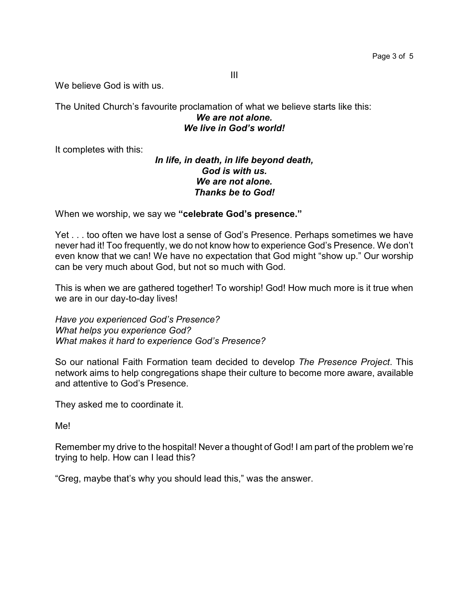We believe God is with us.

The United Church's favourite proclamation of what we believe starts like this: *We are not alone. We live in God's world!*

It completes with this:

## *In life, in death, in life beyond death, God is with us. We are not alone. Thanks be to God!*

When we worship, we say we **"celebrate God's presence."**

Yet . . . too often we have lost a sense of God's Presence. Perhaps sometimes we have never had it! Too frequently, we do not know how to experience God's Presence. We don't even know that we can! We have no expectation that God might "show up." Our worship can be very much about God, but not so much with God.

This is when we are gathered together! To worship! God! How much more is it true when we are in our day-to-day lives!

*Have you experienced God's Presence? What helps you experience God? What makes it hard to experience God's Presence?*

So our national Faith Formation team decided to develop *The Presence Project*. This network aims to help congregations shape their culture to become more aware, available and attentive to God's Presence.

They asked me to coordinate it.

Me!

Remember my drive to the hospital! Never a thought of God! I am part of the problem we're trying to help. How can I lead this?

"Greg, maybe that's why you should lead this," was the answer.

III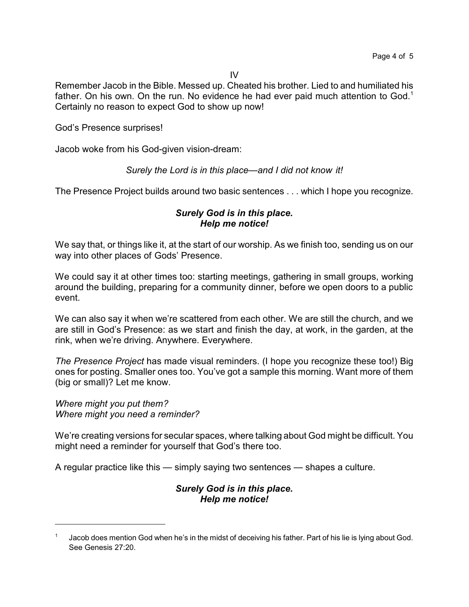IV

Remember Jacob in the Bible. Messed up. Cheated his brother. Lied to and humiliated his father. On his own. On the run. No evidence he had ever paid much attention to God.<sup>1</sup> Certainly no reason to expect God to show up now!

God's Presence surprises!

Jacob woke from his God-given vision-dream:

#### *Surely the Lord is in this place—and I did not know it!*

The Presence Project builds around two basic sentences . . . which I hope you recognize.

## *Surely God is in this place. Help me notice!*

We say that, or things like it, at the start of our worship. As we finish too, sending us on our way into other places of Gods' Presence.

We could say it at other times too: starting meetings, gathering in small groups, working around the building, preparing for a community dinner, before we open doors to a public event.

We can also say it when we're scattered from each other. We are still the church, and we are still in God's Presence: as we start and finish the day, at work, in the garden, at the rink, when we're driving. Anywhere. Everywhere.

*The Presence Project* has made visual reminders. (I hope you recognize these too!) Big ones for posting. Smaller ones too. You've got a sample this morning. Want more of them (big or small)? Let me know.

*Where might you put them? Where might you need a reminder?* 

We're creating versions for secular spaces, where talking about God might be difficult. You might need a reminder for yourself that God's there too.

A regular practice like this — simply saying two sentences — shapes a culture.

### *Surely God is in this place. Help me notice!*

<sup>1</sup> Jacob does mention God when he's in the midst of deceiving his father. Part of his lie is lying about God. See Genesis 27:20.